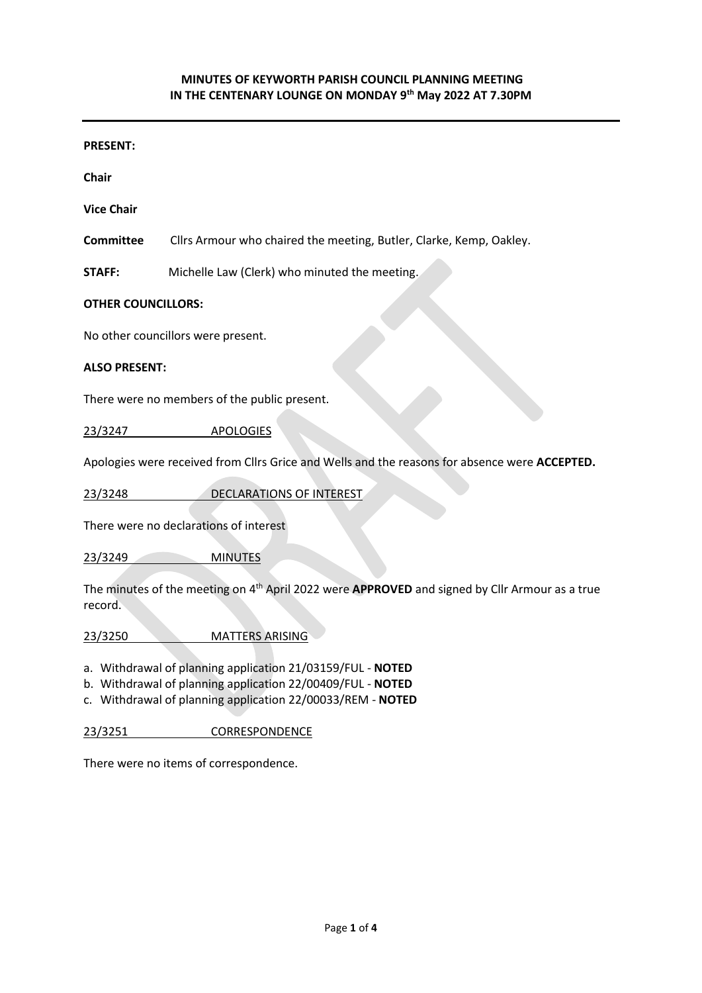#### **PRESENT:**

**Chair**

**Vice Chair**

**Committee** Cllrs Armour who chaired the meeting, Butler, Clarke, Kemp, Oakley.

**STAFF:** Michelle Law (Clerk) who minuted the meeting.

#### **OTHER COUNCILLORS:**

No other councillors were present.

#### **ALSO PRESENT:**

There were no members of the public present.

23/3247 APOLOGIES

Apologies were received from Cllrs Grice and Wells and the reasons for absence were **ACCEPTED.**

23/3248 DECLARATIONS OF INTEREST

There were no declarations of interest

23/3249 MINUTES

The minutes of the meeting on 4<sup>th</sup> April 2022 were APPROVED and signed by Cllr Armour as a true record.

23/3250 MATTERS ARISING

a. Withdrawal of planning application 21/03159/FUL - **NOTED**

b. Withdrawal of planning application 22/00409/FUL - **NOTED**

c. Withdrawal of planning application 22/00033/REM - **NOTED**

23/3251 CORRESPONDENCE

There were no items of correspondence.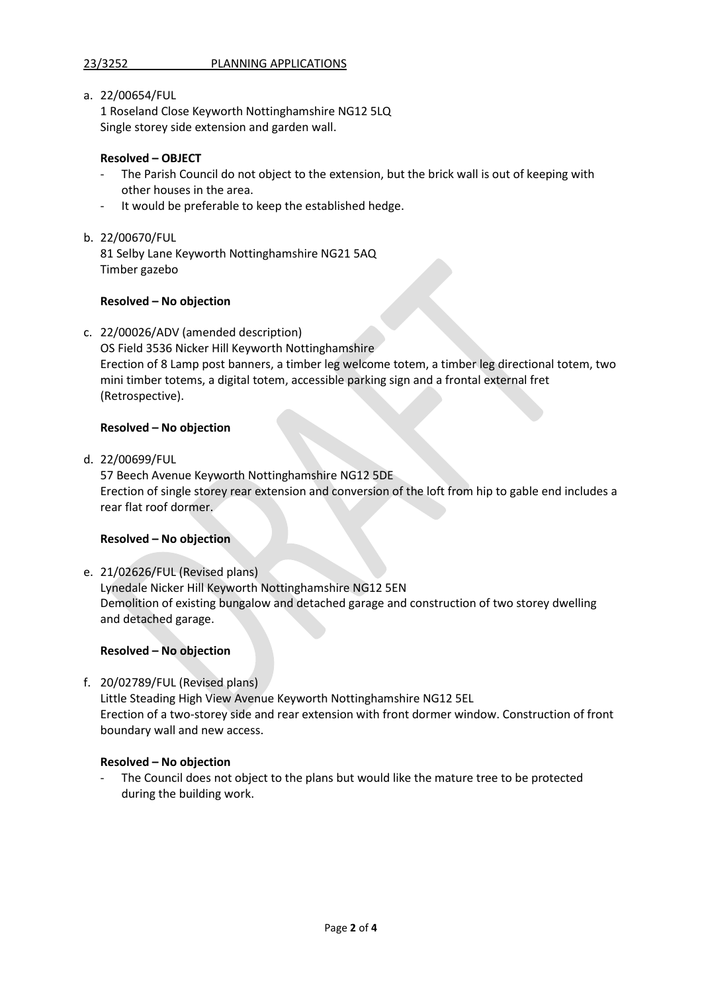# 23/3252 PLANNING APPLICATIONS

a. 22/00654/FUL

1 Roseland Close Keyworth Nottinghamshire NG12 5LQ Single storey side extension and garden wall.

## **Resolved – OBJECT**

- The Parish Council do not object to the extension, but the brick wall is out of keeping with other houses in the area.
- It would be preferable to keep the established hedge.
- b. 22/00670/FUL

81 Selby Lane Keyworth Nottinghamshire NG21 5AQ Timber gazebo

### **Resolved – No objection**

c. 22/00026/ADV (amended description)

OS Field 3536 Nicker Hill Keyworth Nottinghamshire Erection of 8 Lamp post banners, a timber leg welcome totem, a timber leg directional totem, two mini timber totems, a digital totem, accessible parking sign and a frontal external fret (Retrospective).

### **Resolved – No objection**

d. 22/00699/FUL

57 Beech Avenue Keyworth Nottinghamshire NG12 5DE Erection of single storey rear extension and conversion of the loft from hip to gable end includes a rear flat roof dormer.

### **Resolved – No objection**

e. 21/02626/FUL (Revised plans) Lynedale Nicker Hill Keyworth Nottinghamshire NG12 5EN Demolition of existing bungalow and detached garage and construction of two storey dwelling and detached garage.

### **Resolved – No objection**

f. 20/02789/FUL (Revised plans)

Little Steading High View Avenue Keyworth Nottinghamshire NG12 5EL Erection of a two-storey side and rear extension with front dormer window. Construction of front boundary wall and new access.

### **Resolved – No objection**

The Council does not object to the plans but would like the mature tree to be protected during the building work.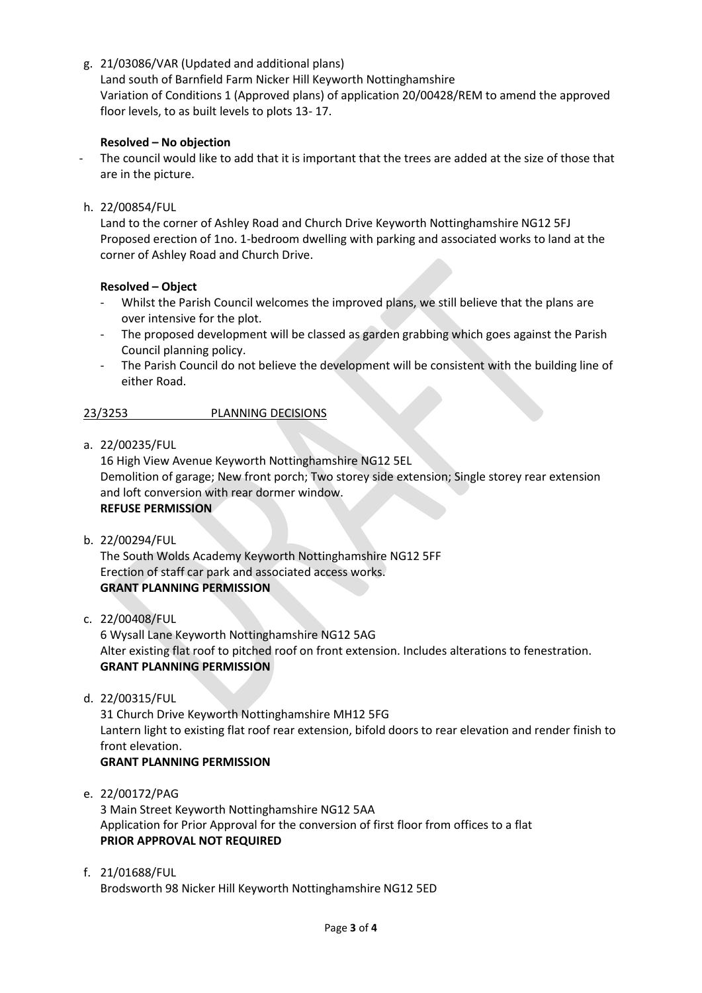g. 21/03086/VAR (Updated and additional plans)

Land south of Barnfield Farm Nicker Hill Keyworth Nottinghamshire Variation of Conditions 1 (Approved plans) of application 20/00428/REM to amend the approved floor levels, to as built levels to plots 13- 17.

# **Resolved – No objection**

The council would like to add that it is important that the trees are added at the size of those that are in the picture.

h. 22/00854/FUL

Land to the corner of Ashley Road and Church Drive Keyworth Nottinghamshire NG12 5FJ Proposed erection of 1no. 1-bedroom dwelling with parking and associated works to land at the corner of Ashley Road and Church Drive.

### **Resolved – Object**

- Whilst the Parish Council welcomes the improved plans, we still believe that the plans are over intensive for the plot.
- The proposed development will be classed as garden grabbing which goes against the Parish Council planning policy.
- The Parish Council do not believe the development will be consistent with the building line of either Road.

# 23/3253 PLANNING DECISIONS

a. 22/00235/FUL

16 High View Avenue Keyworth Nottinghamshire NG12 5EL Demolition of garage; New front porch; Two storey side extension; Single storey rear extension and loft conversion with rear dormer window. **REFUSE PERMISSION**

b. 22/00294/FUL

The South Wolds Academy Keyworth Nottinghamshire NG12 5FF Erection of staff car park and associated access works. **GRANT PLANNING PERMISSION** 

c. 22/00408/FUL

6 Wysall Lane Keyworth Nottinghamshire NG12 5AG Alter existing flat roof to pitched roof on front extension. Includes alterations to fenestration. **GRANT PLANNING PERMISSION**

d. 22/00315/FUL

31 Church Drive Keyworth Nottinghamshire MH12 5FG Lantern light to existing flat roof rear extension, bifold doors to rear elevation and render finish to front elevation.

# **GRANT PLANNING PERMISSION**

e. 22/00172/PAG

3 Main Street Keyworth Nottinghamshire NG12 5AA Application for Prior Approval for the conversion of first floor from offices to a flat **PRIOR APPROVAL NOT REQUIRED**

f. 21/01688/FUL

Brodsworth 98 Nicker Hill Keyworth Nottinghamshire NG12 5ED